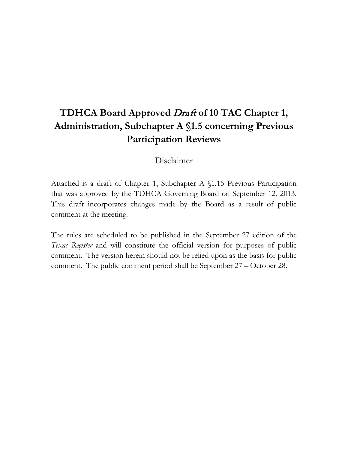## **TDHCA Board Approved** Draft **of 10 TAC Chapter 1, Administration, Subchapter A §1.5 concerning Previous Participation Reviews**

## Disclaimer

Attached is a draft of Chapter 1, Subchapter A §1.15 Previous Participation that was approved by the TDHCA Governing Board on September 12, 2013. This draft incorporates changes made by the Board as a result of public comment at the meeting.

The rules are scheduled to be published in the September 27 edition of the *Texas Register* and will constitute the official version for purposes of public comment. The version herein should not be relied upon as the basis for public comment. The public comment period shall be September 27 – October 28.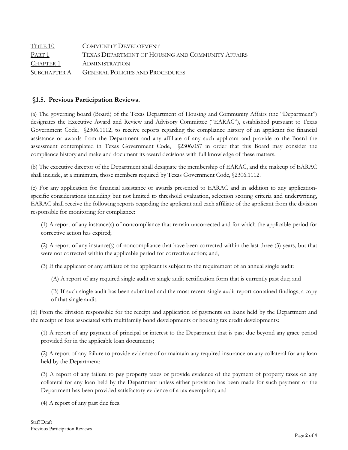| TITLE 10     | <b>COMMUNITY DEVELOPMENT</b>                      |
|--------------|---------------------------------------------------|
| PART 1       | TEXAS DEPARTMENT OF HOUSING AND COMMUNITY AFFAIRS |
| CHAPTER 1    | ADMINISTRATION                                    |
| SUBCHAPTER A | <b>GENERAL POLICIES AND PROCEDURES</b>            |

## **§1.5. Previous Participation Reviews.**

(a) The governing board (Board) of the Texas Department of Housing and Community Affairs (the "Department") designates the Executive Award and Review and Advisory Committee ("EARAC"), established pursuant to Texas Government Code, §2306.1112, to receive reports regarding the compliance history of an applicant for financial assistance or awards from the Department and any affiliate of any such applicant and provide to the Board the assessment contemplated in Texas Government Code, §2306.057 in order that this Board may consider the compliance history and make and document its award decisions with full knowledge of these matters.

(b) The executive director of the Department shall designate the membership of EARAC, and the makeup of EARAC shall include, at a minimum, those members required by Texas Government Code, §2306.1112.

(c) For any application for financial assistance or awards presented to EARAC and in addition to any applicationspecific considerations including but not limited to threshold evaluation, selection scoring criteria and underwriting, EARAC shall receive the following reports regarding the applicant and each affiliate of the applicant from the division responsible for monitoring for compliance:

(1) A report of any instance(s) of noncompliance that remain uncorrected and for which the applicable period for corrective action has expired;

(2) A report of any instance(s) of noncompliance that have been corrected within the last three (3) years, but that were not corrected within the applicable period for corrective action; and,

(3) If the applicant or any affiliate of the applicant is subject to the requirement of an annual single audit:

(A) A report of any required single audit or single audit certification form that is currently past due; and

(B) If such single audit has been submitted and the most recent single audit report contained findings, a copy of that single audit.

(d) From the division responsible for the receipt and application of payments on loans held by the Department and the receipt of fees associated with multifamily bond developments or housing tax credit developments:

(1) A report of any payment of principal or interest to the Department that is past due beyond any grace period provided for in the applicable loan documents;

(2) A report of any failure to provide evidence of or maintain any required insurance on any collateral for any loan held by the Department;

(3) A report of any failure to pay property taxes or provide evidence of the payment of property taxes on any collateral for any loan held by the Department unless either provision has been made for such payment or the Department has been provided satisfactory evidence of a tax exemption; and

(4) A report of any past due fees.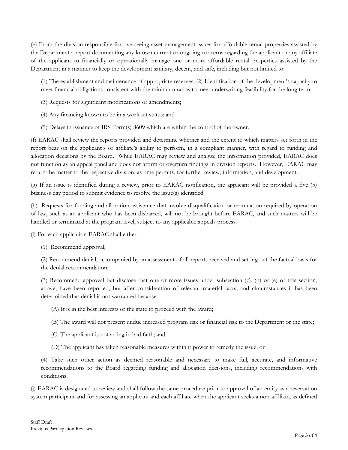(e) From the division responsible for overseeing asset management issues for affordable rental properties assisted by the Department a report documenting any known current or ongoing concerns regarding the applicant or any affiliate of the applicant to financially or operationally manage one or more affordable rental properties assisted by the Department in a manner to keep the development sanitary, decent, and safe, including but not limited to:

(1) The establishment and maintenance of appropriate reserves; (2) Identification of the development's capacity to meet financial obligations consistent with the minimum ratios to meet underwriting feasibility for the long term;

(3) Requests for significant modifications or amendments;

(4) Any financing known to be in a workout status; and

(5) Delays in issuance of IRS Form(s) 8609 which are within the control of the owner.

(f) EARAC shall review the reports provided and determine whether and the extent to which matters set forth in the report bear on the applicant's or affiliate's ability to perform, in a compliant manner, with regard to funding and allocation decisions by the Board. While EARAC may review and analyze the information provided, EARAC does not function as an appeal panel and does not affirm or overturn findings in division reports. However, EARAC may return the matter to the respective division, as time permits, for further review, information, and development.

(g) If an issue is identified during a review, prior to EARAC notification, the applicant will be provided a five (5) business day period to submit evidence to resolve the issue(s) identified.

(h) Requests for funding and allocation assistance that involve disqualification or termination required by operation of law, such as an applicant who has been disbarred, will not be brought before EARAC, and such matters will be handled or terminated at the program level, subject to any applicable appeals process.

(i) For each application EARAC shall either:

(1) Recommend approval;

(2) Recommend denial, accompanied by an assessment of all reports received and setting out the factual basis for the denial recommendation;

(3) Recommend approval but disclose that one or more issues under subsection (c), (d) or (e) of this section, above, have been reported, but after consideration of relevant material facts, and circumstances it has been determined that denial is not warranted because:

(A) It is in the best interests of the state to proceed with the award;

(B) The award will not present undue increased program risk or financial risk to the Department or the state;

(C) The applicant is not acting in bad faith; and

(D) The applicant has taken reasonable measures within it power to remedy the issue; or

(4) Take such other action as deemed reasonable and necessary to make full, accurate, and informative recommendations to the Board regarding funding and allocation decisions, including recommendations with conditions.

(j) EARAC is designated to review and shall follow the same procedure prior to approval of an entity as a reservation system participant and for assessing an applicant and each affiliate when the applicant seeks a non-affiliate, as defined